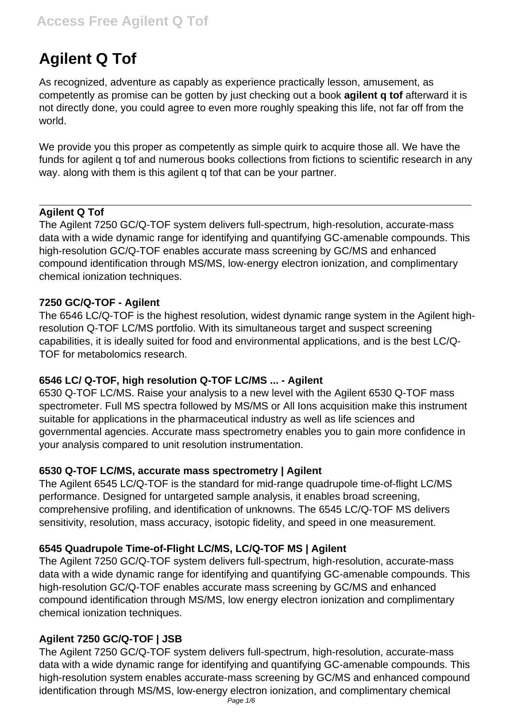# **Agilent Q Tof**

As recognized, adventure as capably as experience practically lesson, amusement, as competently as promise can be gotten by just checking out a book **agilent q tof** afterward it is not directly done, you could agree to even more roughly speaking this life, not far off from the world.

We provide you this proper as competently as simple quirk to acquire those all. We have the funds for agilent q tof and numerous books collections from fictions to scientific research in any way. along with them is this agilent q tof that can be your partner.

#### **Agilent Q Tof**

The Agilent 7250 GC/Q-TOF system delivers full-spectrum, high-resolution, accurate-mass data with a wide dynamic range for identifying and quantifying GC-amenable compounds. This high-resolution GC/Q-TOF enables accurate mass screening by GC/MS and enhanced compound identification through MS/MS, low-energy electron ionization, and complimentary chemical ionization techniques.

#### **7250 GC/Q-TOF - Agilent**

The 6546 LC/Q-TOF is the highest resolution, widest dynamic range system in the Agilent highresolution Q-TOF LC/MS portfolio. With its simultaneous target and suspect screening capabilities, it is ideally suited for food and environmental applications, and is the best LC/Q-TOF for metabolomics research.

#### **6546 LC/ Q-TOF, high resolution Q-TOF LC/MS ... - Agilent**

6530 Q-TOF LC/MS. Raise your analysis to a new level with the Agilent 6530 Q-TOF mass spectrometer. Full MS spectra followed by MS/MS or All Ions acquisition make this instrument suitable for applications in the pharmaceutical industry as well as life sciences and governmental agencies. Accurate mass spectrometry enables you to gain more confidence in your analysis compared to unit resolution instrumentation.

#### **6530 Q-TOF LC/MS, accurate mass spectrometry | Agilent**

The Agilent 6545 LC/Q-TOF is the standard for mid-range quadrupole time-of-flight LC/MS performance. Designed for untargeted sample analysis, it enables broad screening, comprehensive profiling, and identification of unknowns. The 6545 LC/Q-TOF MS delivers sensitivity, resolution, mass accuracy, isotopic fidelity, and speed in one measurement.

#### **6545 Quadrupole Time-of-Flight LC/MS, LC/Q-TOF MS | Agilent**

The Agilent 7250 GC/Q-TOF system delivers full-spectrum, high-resolution, accurate-mass data with a wide dynamic range for identifying and quantifying GC-amenable compounds. This high-resolution GC/Q-TOF enables accurate mass screening by GC/MS and enhanced compound identification through MS/MS, low energy electron ionization and complimentary chemical ionization techniques.

# **Agilent 7250 GC/Q-TOF | JSB**

The Agilent 7250 GC/Q-TOF system delivers full-spectrum, high-resolution, accurate-mass data with a wide dynamic range for identifying and quantifying GC-amenable compounds. This high-resolution system enables accurate-mass screening by GC/MS and enhanced compound identification through MS/MS, low-energy electron ionization, and complimentary chemical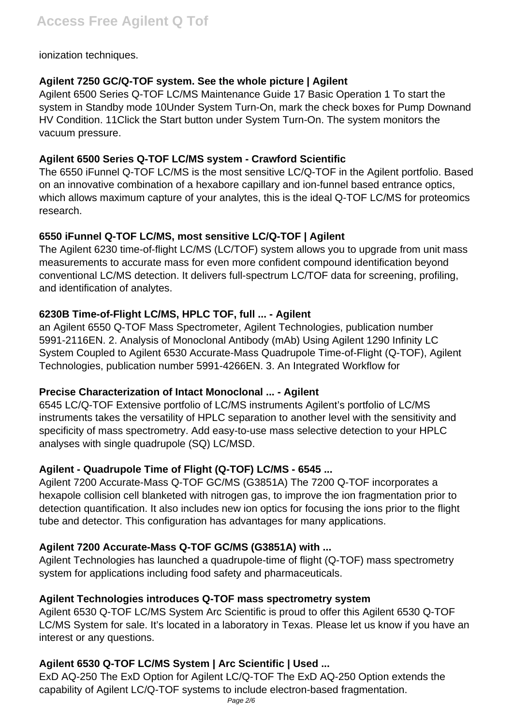#### ionization techniques.

#### **Agilent 7250 GC/Q-TOF system. See the whole picture | Agilent**

Agilent 6500 Series Q-TOF LC/MS Maintenance Guide 17 Basic Operation 1 To start the system in Standby mode 10Under System Turn-On, mark the check boxes for Pump Downand HV Condition. 11Click the Start button under System Turn-On. The system monitors the vacuum pressure.

#### **Agilent 6500 Series Q-TOF LC/MS system - Crawford Scientific**

The 6550 iFunnel Q-TOF LC/MS is the most sensitive LC/Q-TOF in the Agilent portfolio. Based on an innovative combination of a hexabore capillary and ion-funnel based entrance optics, which allows maximum capture of your analytes, this is the ideal Q-TOF LC/MS for proteomics research.

## **6550 iFunnel Q-TOF LC/MS, most sensitive LC/Q-TOF | Agilent**

The Agilent 6230 time-of-flight LC/MS (LC/TOF) system allows you to upgrade from unit mass measurements to accurate mass for even more confident compound identification beyond conventional LC/MS detection. It delivers full-spectrum LC/TOF data for screening, profiling, and identification of analytes.

## **6230B Time-of-Flight LC/MS, HPLC TOF, full ... - Agilent**

an Agilent 6550 Q-TOF Mass Spectrometer, Agilent Technologies, publication number 5991-2116EN. 2. Analysis of Monoclonal Antibody (mAb) Using Agilent 1290 Infinity LC System Coupled to Agilent 6530 Accurate-Mass Quadrupole Time-of-Flight (Q-TOF), Agilent Technologies, publication number 5991-4266EN. 3. An Integrated Workflow for

#### **Precise Characterization of Intact Monoclonal ... - Agilent**

6545 LC/Q-TOF Extensive portfolio of LC/MS instruments Agilent's portfolio of LC/MS instruments takes the versatility of HPLC separation to another level with the sensitivity and specificity of mass spectrometry. Add easy-to-use mass selective detection to your HPLC analyses with single quadrupole (SQ) LC/MSD.

#### **Agilent - Quadrupole Time of Flight (Q-TOF) LC/MS - 6545 ...**

Agilent 7200 Accurate-Mass Q-TOF GC/MS (G3851A) The 7200 Q-TOF incorporates a hexapole collision cell blanketed with nitrogen gas, to improve the ion fragmentation prior to detection quantification. It also includes new ion optics for focusing the ions prior to the flight tube and detector. This configuration has advantages for many applications.

# **Agilent 7200 Accurate-Mass Q-TOF GC/MS (G3851A) with ...**

Agilent Technologies has launched a quadrupole-time of flight (Q-TOF) mass spectrometry system for applications including food safety and pharmaceuticals.

#### **Agilent Technologies introduces Q-TOF mass spectrometry system**

Agilent 6530 Q-TOF LC/MS System Arc Scientific is proud to offer this Agilent 6530 Q-TOF LC/MS System for sale. It's located in a laboratory in Texas. Please let us know if you have an interest or any questions.

# **Agilent 6530 Q-TOF LC/MS System | Arc Scientific | Used ...**

ExD AQ-250 The ExD Option for Agilent LC/Q-TOF The ExD AQ-250 Option extends the capability of Agilent LC/Q-TOF systems to include electron-based fragmentation.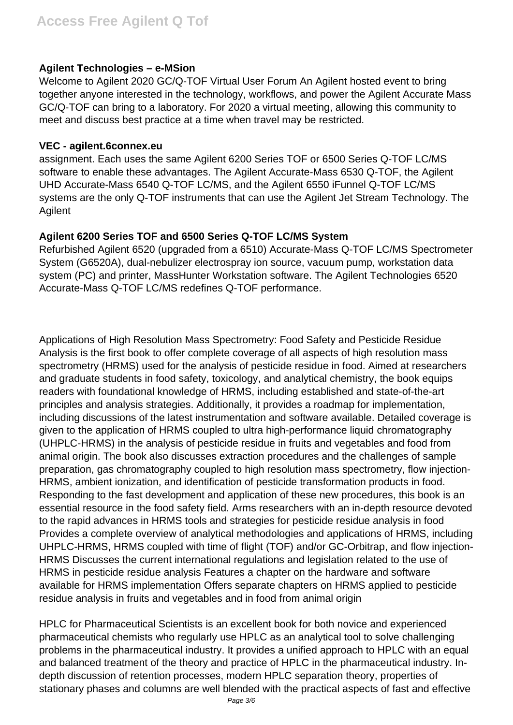#### **Agilent Technologies – e-MSion**

Welcome to Agilent 2020 GC/Q-TOF Virtual User Forum An Agilent hosted event to bring together anyone interested in the technology, workflows, and power the Agilent Accurate Mass GC/Q-TOF can bring to a laboratory. For 2020 a virtual meeting, allowing this community to meet and discuss best practice at a time when travel may be restricted.

#### **VEC - agilent.6connex.eu**

assignment. Each uses the same Agilent 6200 Series TOF or 6500 Series Q-TOF LC/MS software to enable these advantages. The Agilent Accurate-Mass 6530 Q-TOF, the Agilent UHD Accurate-Mass 6540 Q-TOF LC/MS, and the Agilent 6550 iFunnel Q-TOF LC/MS systems are the only Q-TOF instruments that can use the Agilent Jet Stream Technology. The Agilent

#### **Agilent 6200 Series TOF and 6500 Series Q-TOF LC/MS System**

Refurbished Agilent 6520 (upgraded from a 6510) Accurate-Mass Q-TOF LC/MS Spectrometer System (G6520A), dual-nebulizer electrospray ion source, vacuum pump, workstation data system (PC) and printer, MassHunter Workstation software. The Agilent Technologies 6520 Accurate-Mass Q-TOF LC/MS redefines Q-TOF performance.

Applications of High Resolution Mass Spectrometry: Food Safety and Pesticide Residue Analysis is the first book to offer complete coverage of all aspects of high resolution mass spectrometry (HRMS) used for the analysis of pesticide residue in food. Aimed at researchers and graduate students in food safety, toxicology, and analytical chemistry, the book equips readers with foundational knowledge of HRMS, including established and state-of-the-art principles and analysis strategies. Additionally, it provides a roadmap for implementation, including discussions of the latest instrumentation and software available. Detailed coverage is given to the application of HRMS coupled to ultra high-performance liquid chromatography (UHPLC-HRMS) in the analysis of pesticide residue in fruits and vegetables and food from animal origin. The book also discusses extraction procedures and the challenges of sample preparation, gas chromatography coupled to high resolution mass spectrometry, flow injection-HRMS, ambient ionization, and identification of pesticide transformation products in food. Responding to the fast development and application of these new procedures, this book is an essential resource in the food safety field. Arms researchers with an in-depth resource devoted to the rapid advances in HRMS tools and strategies for pesticide residue analysis in food Provides a complete overview of analytical methodologies and applications of HRMS, including UHPLC-HRMS, HRMS coupled with time of flight (TOF) and/or GC-Orbitrap, and flow injection-HRMS Discusses the current international regulations and legislation related to the use of HRMS in pesticide residue analysis Features a chapter on the hardware and software available for HRMS implementation Offers separate chapters on HRMS applied to pesticide residue analysis in fruits and vegetables and in food from animal origin

HPLC for Pharmaceutical Scientists is an excellent book for both novice and experienced pharmaceutical chemists who regularly use HPLC as an analytical tool to solve challenging problems in the pharmaceutical industry. It provides a unified approach to HPLC with an equal and balanced treatment of the theory and practice of HPLC in the pharmaceutical industry. Indepth discussion of retention processes, modern HPLC separation theory, properties of stationary phases and columns are well blended with the practical aspects of fast and effective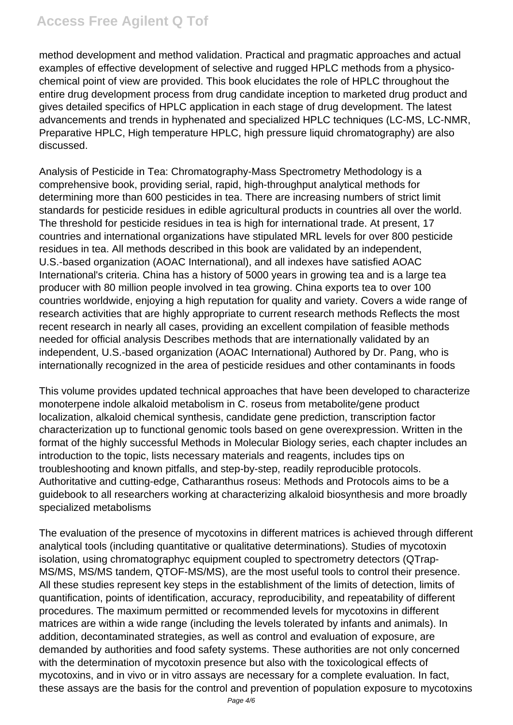method development and method validation. Practical and pragmatic approaches and actual examples of effective development of selective and rugged HPLC methods from a physicochemical point of view are provided. This book elucidates the role of HPLC throughout the entire drug development process from drug candidate inception to marketed drug product and gives detailed specifics of HPLC application in each stage of drug development. The latest advancements and trends in hyphenated and specialized HPLC techniques (LC-MS, LC-NMR, Preparative HPLC, High temperature HPLC, high pressure liquid chromatography) are also discussed.

Analysis of Pesticide in Tea: Chromatography-Mass Spectrometry Methodology is a comprehensive book, providing serial, rapid, high-throughput analytical methods for determining more than 600 pesticides in tea. There are increasing numbers of strict limit standards for pesticide residues in edible agricultural products in countries all over the world. The threshold for pesticide residues in tea is high for international trade. At present, 17 countries and international organizations have stipulated MRL levels for over 800 pesticide residues in tea. All methods described in this book are validated by an independent, U.S.-based organization (AOAC International), and all indexes have satisfied AOAC International's criteria. China has a history of 5000 years in growing tea and is a large tea producer with 80 million people involved in tea growing. China exports tea to over 100 countries worldwide, enjoying a high reputation for quality and variety. Covers a wide range of research activities that are highly appropriate to current research methods Reflects the most recent research in nearly all cases, providing an excellent compilation of feasible methods needed for official analysis Describes methods that are internationally validated by an independent, U.S.-based organization (AOAC International) Authored by Dr. Pang, who is internationally recognized in the area of pesticide residues and other contaminants in foods

This volume provides updated technical approaches that have been developed to characterize monoterpene indole alkaloid metabolism in C. roseus from metabolite/gene product localization, alkaloid chemical synthesis, candidate gene prediction, transcription factor characterization up to functional genomic tools based on gene overexpression. Written in the format of the highly successful Methods in Molecular Biology series, each chapter includes an introduction to the topic, lists necessary materials and reagents, includes tips on troubleshooting and known pitfalls, and step-by-step, readily reproducible protocols. Authoritative and cutting-edge, Catharanthus roseus: Methods and Protocols aims to be a guidebook to all researchers working at characterizing alkaloid biosynthesis and more broadly specialized metabolisms

The evaluation of the presence of mycotoxins in different matrices is achieved through different analytical tools (including quantitative or qualitative determinations). Studies of mycotoxin isolation, using chromatographyc equipment coupled to spectrometry detectors (QTrap-MS/MS, MS/MS tandem, QTOF-MS/MS), are the most useful tools to control their presence. All these studies represent key steps in the establishment of the limits of detection, limits of quantification, points of identification, accuracy, reproducibility, and repeatability of different procedures. The maximum permitted or recommended levels for mycotoxins in different matrices are within a wide range (including the levels tolerated by infants and animals). In addition, decontaminated strategies, as well as control and evaluation of exposure, are demanded by authorities and food safety systems. These authorities are not only concerned with the determination of mycotoxin presence but also with the toxicological effects of mycotoxins, and in vivo or in vitro assays are necessary for a complete evaluation. In fact, these assays are the basis for the control and prevention of population exposure to mycotoxins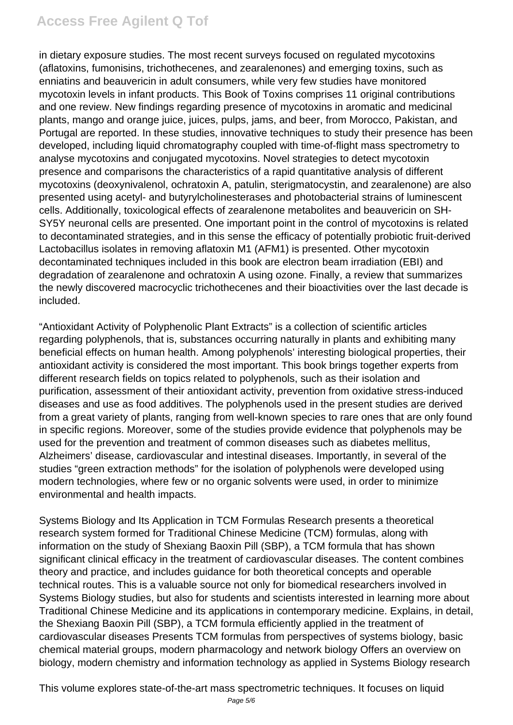# **Access Free Agilent Q Tof**

in dietary exposure studies. The most recent surveys focused on regulated mycotoxins (aflatoxins, fumonisins, trichothecenes, and zearalenones) and emerging toxins, such as enniatins and beauvericin in adult consumers, while very few studies have monitored mycotoxin levels in infant products. This Book of Toxins comprises 11 original contributions and one review. New findings regarding presence of mycotoxins in aromatic and medicinal plants, mango and orange juice, juices, pulps, jams, and beer, from Morocco, Pakistan, and Portugal are reported. In these studies, innovative techniques to study their presence has been developed, including liquid chromatography coupled with time-of-flight mass spectrometry to analyse mycotoxins and conjugated mycotoxins. Novel strategies to detect mycotoxin presence and comparisons the characteristics of a rapid quantitative analysis of different mycotoxins (deoxynivalenol, ochratoxin A, patulin, sterigmatocystin, and zearalenone) are also presented using acetyl- and butyrylcholinesterases and photobacterial strains of luminescent cells. Additionally, toxicological effects of zearalenone metabolites and beauvericin on SH-SY5Y neuronal cells are presented. One important point in the control of mycotoxins is related to decontaminated strategies, and in this sense the efficacy of potentially probiotic fruit-derived Lactobacillus isolates in removing aflatoxin M1 (AFM1) is presented. Other mycotoxin decontaminated techniques included in this book are electron beam irradiation (EBI) and degradation of zearalenone and ochratoxin A using ozone. Finally, a review that summarizes the newly discovered macrocyclic trichothecenes and their bioactivities over the last decade is included.

"Antioxidant Activity of Polyphenolic Plant Extracts" is a collection of scientific articles regarding polyphenols, that is, substances occurring naturally in plants and exhibiting many beneficial effects on human health. Among polyphenols' interesting biological properties, their antioxidant activity is considered the most important. This book brings together experts from different research fields on topics related to polyphenols, such as their isolation and purification, assessment of their antioxidant activity, prevention from oxidative stress-induced diseases and use as food additives. The polyphenols used in the present studies are derived from a great variety of plants, ranging from well-known species to rare ones that are only found in specific regions. Moreover, some of the studies provide evidence that polyphenols may be used for the prevention and treatment of common diseases such as diabetes mellitus, Alzheimers' disease, cardiovascular and intestinal diseases. Importantly, in several of the studies "green extraction methods" for the isolation of polyphenols were developed using modern technologies, where few or no organic solvents were used, in order to minimize environmental and health impacts.

Systems Biology and Its Application in TCM Formulas Research presents a theoretical research system formed for Traditional Chinese Medicine (TCM) formulas, along with information on the study of Shexiang Baoxin Pill (SBP), a TCM formula that has shown significant clinical efficacy in the treatment of cardiovascular diseases. The content combines theory and practice, and includes guidance for both theoretical concepts and operable technical routes. This is a valuable source not only for biomedical researchers involved in Systems Biology studies, but also for students and scientists interested in learning more about Traditional Chinese Medicine and its applications in contemporary medicine. Explains, in detail, the Shexiang Baoxin Pill (SBP), a TCM formula efficiently applied in the treatment of cardiovascular diseases Presents TCM formulas from perspectives of systems biology, basic chemical material groups, modern pharmacology and network biology Offers an overview on biology, modern chemistry and information technology as applied in Systems Biology research

This volume explores state-of-the-art mass spectrometric techniques. It focuses on liquid